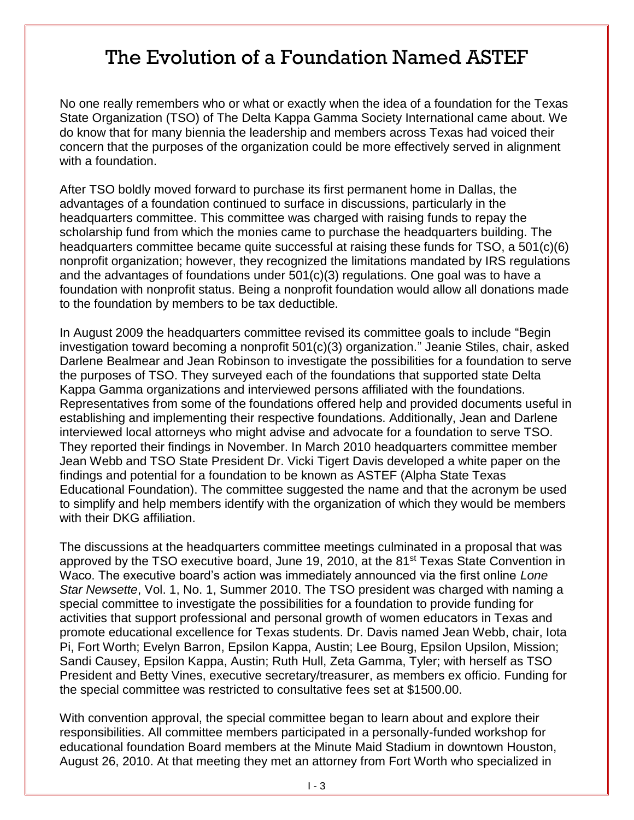## The Evolution of a Foundation Named ASTEF

No one really remembers who or what or exactly when the idea of a foundation for the Texas State Organization (TSO) of The Delta Kappa Gamma Society International came about. We do know that for many biennia the leadership and members across Texas had voiced their concern that the purposes of the organization could be more effectively served in alignment with a foundation.

After TSO boldly moved forward to purchase its first permanent home in Dallas, the advantages of a foundation continued to surface in discussions, particularly in the headquarters committee. This committee was charged with raising funds to repay the scholarship fund from which the monies came to purchase the headquarters building. The headquarters committee became quite successful at raising these funds for TSO, a 501(c)(6) nonprofit organization; however, they recognized the limitations mandated by IRS regulations and the advantages of foundations under 501(c)(3) regulations. One goal was to have a foundation with nonprofit status. Being a nonprofit foundation would allow all donations made to the foundation by members to be tax deductible*.*

In August 2009 the headquarters committee revised its committee goals to include "Begin investigation toward becoming a nonprofit 501(c)(3) organization." Jeanie Stiles, chair, asked Darlene Bealmear and Jean Robinson to investigate the possibilities for a foundation to serve the purposes of TSO. They surveyed each of the foundations that supported state Delta Kappa Gamma organizations and interviewed persons affiliated with the foundations. Representatives from some of the foundations offered help and provided documents useful in establishing and implementing their respective foundations. Additionally, Jean and Darlene interviewed local attorneys who might advise and advocate for a foundation to serve TSO. They reported their findings in November. In March 2010 headquarters committee member Jean Webb and TSO State President Dr. Vicki Tigert Davis developed a white paper on the findings and potential for a foundation to be known as ASTEF (Alpha State Texas Educational Foundation). The committee suggested the name and that the acronym be used to simplify and help members identify with the organization of which they would be members with their DKG affiliation.

The discussions at the headquarters committee meetings culminated in a proposal that was approved by the TSO executive board, June 19, 2010, at the 81st Texas State Convention in Waco. The executive board's action was immediately announced via the first online *Lone Star Newsette*, Vol. 1, No. 1, Summer 2010. The TSO president was charged with naming a special committee to investigate the possibilities for a foundation to provide funding for activities that support professional and personal growth of women educators in Texas and promote educational excellence for Texas students. Dr. Davis named Jean Webb, chair, Iota Pi, Fort Worth; Evelyn Barron, Epsilon Kappa, Austin; Lee Bourg, Epsilon Upsilon, Mission; Sandi Causey, Epsilon Kappa, Austin; Ruth Hull, Zeta Gamma, Tyler; with herself as TSO President and Betty Vines, executive secretary/treasurer, as members ex officio. Funding for the special committee was restricted to consultative fees set at \$1500.00.

With convention approval, the special committee began to learn about and explore their responsibilities. All committee members participated in a personally-funded workshop for educational foundation Board members at the Minute Maid Stadium in downtown Houston, August 26, 2010. At that meeting they met an attorney from Fort Worth who specialized in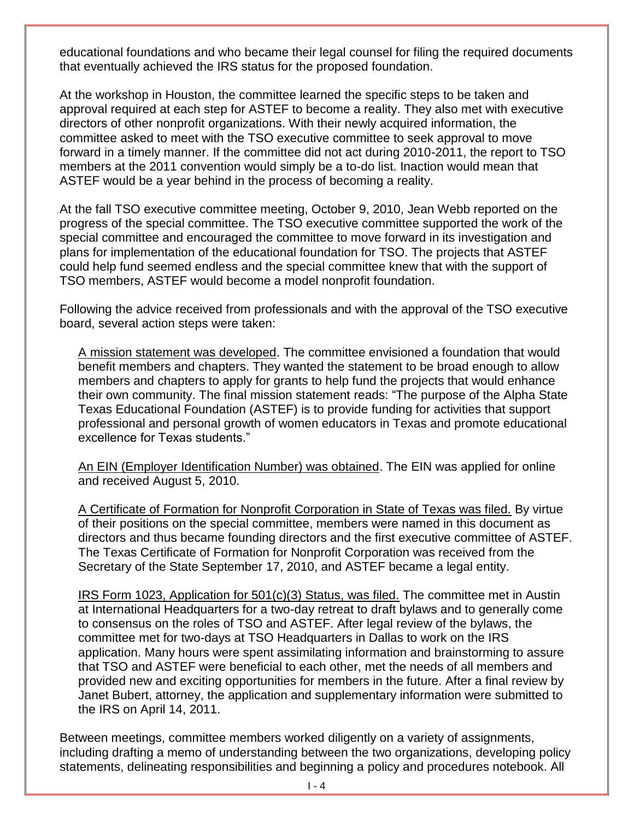educational foundations and who became their legal counsel for filing the required documents that eventually achieved the IRS status for the proposed foundation.

At the workshop in Houston, the committee learned the specific steps to be taken and approval required at each step for ASTEF to become a reality. They also met with executive directors of other nonprofit organizations. With their newly acquired information, the committee asked to meet with the TSO executive committee to seek approval to move forward in a timely manner. If the committee did not act during 2010-2011, the report to TSO members at the 2011 convention would simply be a to-do list. Inaction would mean that ASTEF would be a year behind in the process of becoming a reality.

At the fall TSO executive committee meeting, October 9, 2010, Jean Webb reported on the progress of the special committee. The TSO executive committee supported the work of the special committee and encouraged the committee to move forward in its investigation and plans for implementation of the educational foundation for TSO. The projects that ASTEF could help fund seemed endless and the special committee knew that with the support of TSO members, ASTEF would become a model nonprofit foundation.

Following the advice received from professionals and with the approval of the TSO executive board, several action steps were taken:

A mission statement was developed. The committee envisioned a foundation that would benefit members and chapters. They wanted the statement to be broad enough to allow members and chapters to apply for grants to help fund the projects that would enhance their own community. The final mission statement reads: "The purpose of the Alpha State Texas Educational Foundation (ASTEF) is to provide funding for activities that support professional and personal growth of women educators in Texas and promote educational excellence for Texas students."

An EIN (Employer Identification Number) was obtained. The EIN was applied for online and received August 5, 2010.

A Certificate of Formation for Nonprofit Corporation in State of Texas was filed. By virtue of their positions on the special committee, members were named in this document as directors and thus became founding directors and the first executive committee of ASTEF. The Texas Certificate of Formation for Nonprofit Corporation was received from the Secretary of the State September 17, 2010, and ASTEF became a legal entity.

IRS Form 1023, Application for 501(c)(3) Status, was filed. The committee met in Austin at International Headquarters for a two-day retreat to draft bylaws and to generally come to consensus on the roles of TSO and ASTEF. After legal review of the bylaws, the committee met for two-days at TSO Headquarters in Dallas to work on the IRS application. Many hours were spent assimilating information and brainstorming to assure that TSO and ASTEF were beneficial to each other, met the needs of all members and provided new and exciting opportunities for members in the future. After a final review by Janet Bubert, attorney, the application and supplementary information were submitted to the IRS on April 14, 2011.

Between meetings, committee members worked diligently on a variety of assignments, including drafting a memo of understanding between the two organizations, developing policy statements, delineating responsibilities and beginning a policy and procedures notebook. All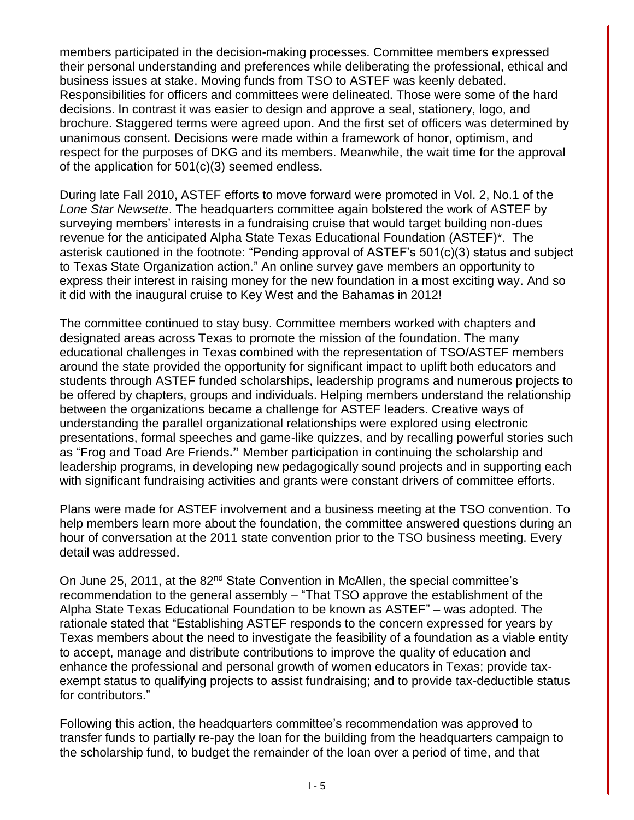members participated in the decision-making processes. Committee members expressed their personal understanding and preferences while deliberating the professional, ethical and business issues at stake. Moving funds from TSO to ASTEF was keenly debated. Responsibilities for officers and committees were delineated. Those were some of the hard decisions. In contrast it was easier to design and approve a seal, stationery, logo, and brochure. Staggered terms were agreed upon. And the first set of officers was determined by unanimous consent. Decisions were made within a framework of honor, optimism, and respect for the purposes of DKG and its members. Meanwhile, the wait time for the approval of the application for 501(c)(3) seemed endless.

During late Fall 2010, ASTEF efforts to move forward were promoted in Vol. 2, No.1 of the *Lone Star Newsette*. The headquarters committee again bolstered the work of ASTEF by surveying members' interests in a fundraising cruise that would target building non-dues revenue for the anticipated Alpha State Texas Educational Foundation (ASTEF)\*. The asterisk cautioned in the footnote: "Pending approval of ASTEF's 501(c)(3) status and subject to Texas State Organization action." An online survey gave members an opportunity to express their interest in raising money for the new foundation in a most exciting way. And so it did with the inaugural cruise to Key West and the Bahamas in 2012!

The committee continued to stay busy. Committee members worked with chapters and designated areas across Texas to promote the mission of the foundation. The many educational challenges in Texas combined with the representation of TSO/ASTEF members around the state provided the opportunity for significant impact to uplift both educators and students through ASTEF funded scholarships, leadership programs and numerous projects to be offered by chapters, groups and individuals. Helping members understand the relationship between the organizations became a challenge for ASTEF leaders. Creative ways of understanding the parallel organizational relationships were explored using electronic presentations, formal speeches and game-like quizzes, and by recalling powerful stories such as "Frog and Toad Are Friends**."** Member participation in continuing the scholarship and leadership programs, in developing new pedagogically sound projects and in supporting each with significant fundraising activities and grants were constant drivers of committee efforts.

Plans were made for ASTEF involvement and a business meeting at the TSO convention. To help members learn more about the foundation, the committee answered questions during an hour of conversation at the 2011 state convention prior to the TSO business meeting. Every detail was addressed.

On June 25, 2011, at the 82<sup>nd</sup> State Convention in McAllen, the special committee's recommendation to the general assembly – "That TSO approve the establishment of the Alpha State Texas Educational Foundation to be known as ASTEF" – was adopted. The rationale stated that "Establishing ASTEF responds to the concern expressed for years by Texas members about the need to investigate the feasibility of a foundation as a viable entity to accept, manage and distribute contributions to improve the quality of education and enhance the professional and personal growth of women educators in Texas; provide taxexempt status to qualifying projects to assist fundraising; and to provide tax-deductible status for contributors."

Following this action, the headquarters committee's recommendation was approved to transfer funds to partially re-pay the loan for the building from the headquarters campaign to the scholarship fund, to budget the remainder of the loan over a period of time, and that